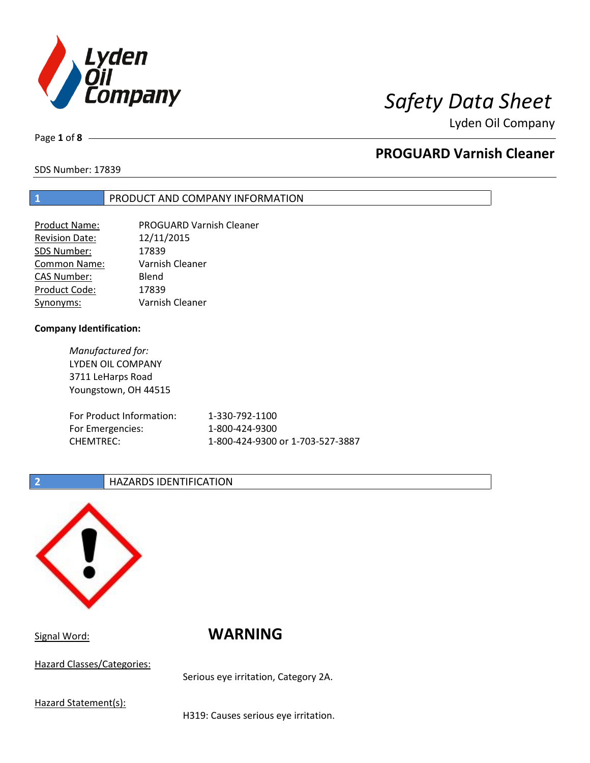

Page **1** of **8**

# **PROGUARD Varnish Cleaner**

SDS Number: 17839

### **1** PRODUCT AND COMPANY INFORMATION

| Product Name:         | <b>PROGUARD Varnish Cleaner</b> |
|-----------------------|---------------------------------|
| <b>Revision Date:</b> | 12/11/2015                      |
| SDS Number:           | 17839                           |
| Common Name:          | Varnish Cleaner                 |
| <b>CAS Number:</b>    | Blend                           |
| Product Code:         | 17839                           |
| Synonyms:             | Varnish Cleaner                 |

### **Company Identification:**

*Manufactured for:* LYDEN OIL COMPANY 3711 LeHarps Road Youngstown, OH 44515 For Product Information: 1-330-792-1100 For Emergencies: 1-800-424-9300 CHEMTREC: 1-800-424-9300 or 1-703-527-3887

### **2 HAZARDS IDENTIFICATION**



# Signal Word: **WARNING**

Hazard Classes/Categories:

Serious eye irritation, Category 2A.

Hazard Statement(s):

H319: Causes serious eye irritation.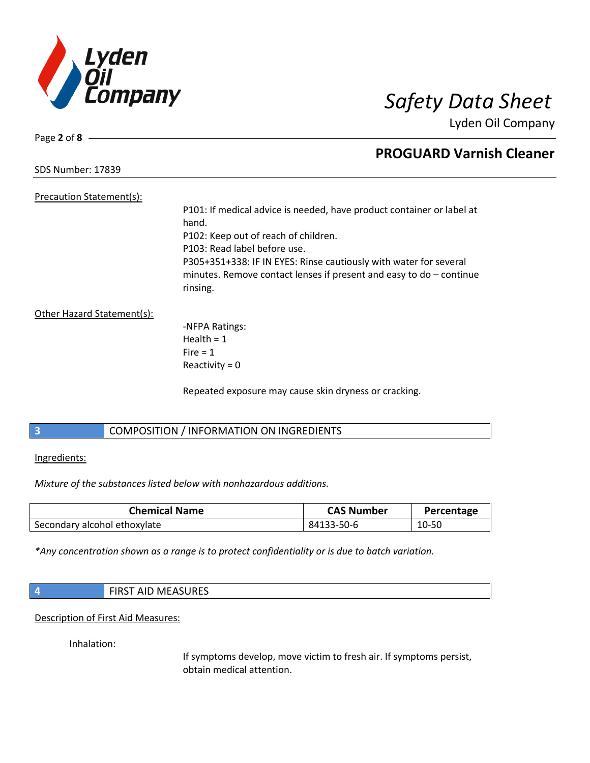

Page **2** of **8**

## **PROGUARD Varnish Cleaner**

SDS Number: 17839

Precaution Statement(s):

P101: If medical advice is needed, have product container or label at hand. P102: Keep out of reach of children. P103: Read label before use. P305+351+338: IF IN EYES: Rinse cautiously with water for several minutes. Remove contact lenses if present and easy to do – continue rinsing.

Other Hazard Statement(s):

-NFPA Ratings: Health  $= 1$  $Fire = 1$ Reactivity  $= 0$ 

Repeated exposure may cause skin dryness or cracking.

### **3** COMPOSITION / INFORMATION ON INGREDIENTS

Ingredients:

*Mixture of the substances listed below with nonhazardous additions.*

| <b>Chemical Name</b>         | <b>CAS Number</b> | Percentage |
|------------------------------|-------------------|------------|
| Secondary alcohol ethoxylate | 84133-50-6        | 10-50      |

*\*Any concentration shown as a range is to protect confidentiality or is due to batch variation.*

| <b>FIRST AID MEASURES</b><br>___ |  |
|----------------------------------|--|
|----------------------------------|--|

Description of First Aid Measures:

Inhalation:

If symptoms develop, move victim to fresh air. If symptoms persist, obtain medical attention.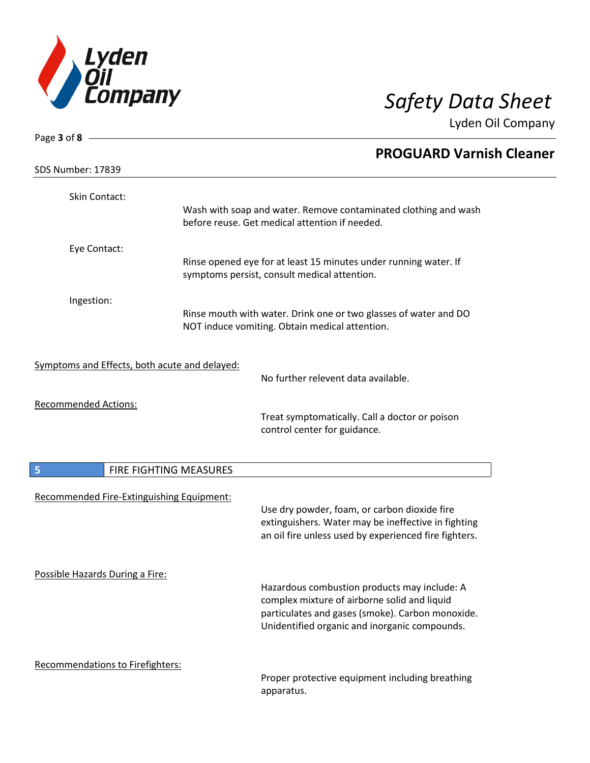

| Page 3 of 8 -                                 |                        |                                                                                                                                                                                                   |  |
|-----------------------------------------------|------------------------|---------------------------------------------------------------------------------------------------------------------------------------------------------------------------------------------------|--|
| <b>SDS Number: 17839</b>                      |                        | <b>PROGUARD Varnish Cleaner</b>                                                                                                                                                                   |  |
| Skin Contact:                                 |                        | Wash with soap and water. Remove contaminated clothing and wash                                                                                                                                   |  |
|                                               |                        | before reuse. Get medical attention if needed.                                                                                                                                                    |  |
| Eye Contact:                                  |                        | Rinse opened eye for at least 15 minutes under running water. If<br>symptoms persist, consult medical attention.                                                                                  |  |
| Ingestion:                                    |                        | Rinse mouth with water. Drink one or two glasses of water and DO<br>NOT induce vomiting. Obtain medical attention.                                                                                |  |
| Symptoms and Effects, both acute and delayed: |                        | No further relevent data available.                                                                                                                                                               |  |
| <b>Recommended Actions:</b>                   |                        | Treat symptomatically. Call a doctor or poison<br>control center for guidance.                                                                                                                    |  |
| 5                                             | FIRE FIGHTING MEASURES |                                                                                                                                                                                                   |  |
| Recommended Fire-Extinguishing Equipment:     |                        | Use dry powder, foam, or carbon dioxide fire<br>extinguishers. Water may be ineffective in fighting<br>an oil fire unless used by experienced fire fighters.                                      |  |
| Possible Hazards During a Fire:               |                        | Hazardous combustion products may include: A<br>complex mixture of airborne solid and liquid<br>particulates and gases (smoke). Carbon monoxide.<br>Unidentified organic and inorganic compounds. |  |
| Recommendations to Firefighters:              |                        | Proper protective equipment including breathing<br>apparatus.                                                                                                                                     |  |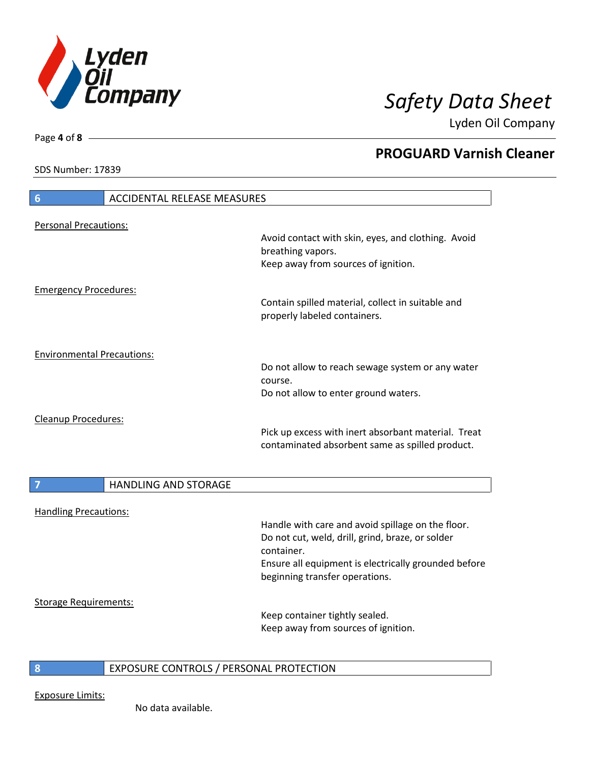

**PROGUARD Varnish Cleaner**

Lyden Oil Company

SDS Number: 17839

Page **4** of **8**

# **6** ACCIDENTAL RELEASE MEASURES Personal Precautions: Avoid contact with skin, eyes, and clothing. Avoid breathing vapors. Keep away from sources of ignition. Emergency Procedures: Contain spilled material, collect in suitable and properly labeled containers. Environmental Precautions: Do not allow to reach sewage system or any water course. Do not allow to enter ground waters. Cleanup Procedures: Pick up excess with inert absorbant material. Treat contaminated absorbent same as spilled product. **7 HANDLING AND STORAGE** Handling Precautions: Handle with care and avoid spillage on the floor. Do not cut, weld, drill, grind, braze, or solder container. Ensure all equipment is electrically grounded before beginning transfer operations. Storage Requirements: Keep container tightly sealed. Keep away from sources of ignition.

### **8** EXPOSURE CONTROLS / PERSONAL PROTECTION

Exposure Limits: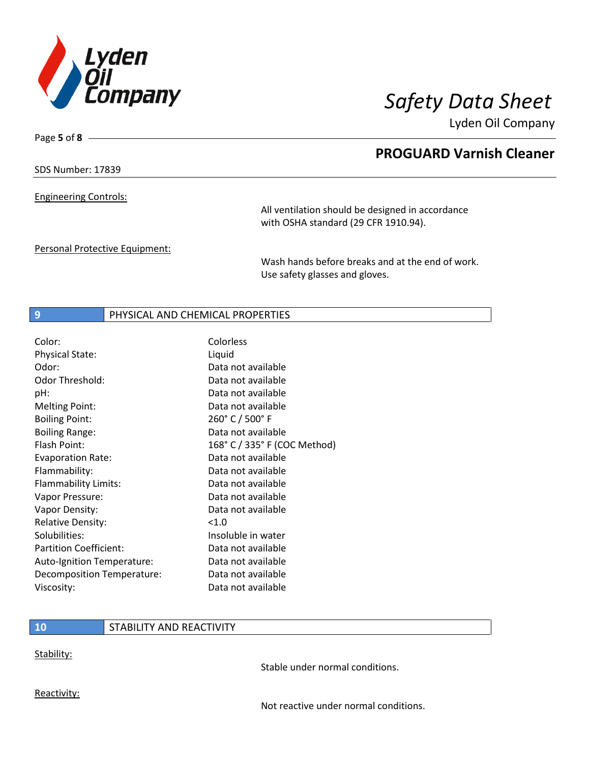

Page **5** of **8**

# **PROGUARD Varnish Cleaner**

SDS Number: 17839

Engineering Controls:

All ventilation should be designed in accordance with OSHA standard (29 CFR 1910.94).

Personal Protective Equipment:

Wash hands before breaks and at the end of work. Use safety glasses and gloves.

### **9 PHYSICAL AND CHEMICAL PROPERTIES**

| Color:                        | Colorless                    |
|-------------------------------|------------------------------|
| <b>Physical State:</b>        | Liquid                       |
| Odor:                         | Data not available           |
| Odor Threshold:               | Data not available           |
| pH:                           | Data not available           |
| <b>Melting Point:</b>         | Data not available           |
| <b>Boiling Point:</b>         | 260° C / 500° F              |
| <b>Boiling Range:</b>         | Data not available           |
| Flash Point:                  | 168° C / 335° F (COC Method) |
| <b>Evaporation Rate:</b>      | Data not available           |
| Flammability:                 | Data not available           |
| Flammability Limits:          | Data not available           |
| Vapor Pressure:               | Data not available           |
| Vapor Density:                | Data not available           |
| <b>Relative Density:</b>      | < 1.0                        |
| Solubilities:                 | Insoluble in water           |
| <b>Partition Coefficient:</b> | Data not available           |
| Auto-Ignition Temperature:    | Data not available           |
| Decomposition Temperature:    | Data not available           |
| Viscosity:                    | Data not available           |

### **10** STABILITY AND REACTIVITY

Stability:

Stable under normal conditions.

Reactivity:

Not reactive under normal conditions.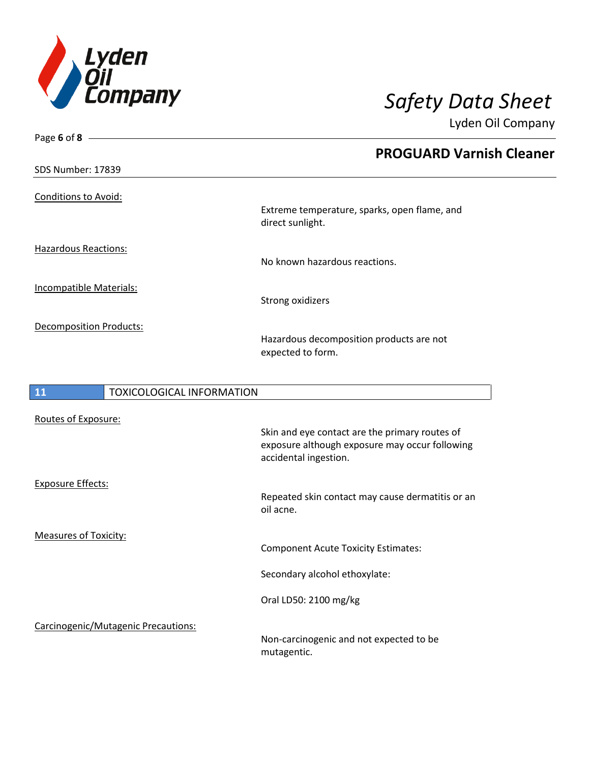

Page **6** of **8**

Lyden Oil Company

|                                |                                  | <b>PROGUARD Varnish Cleaner</b>                                  |
|--------------------------------|----------------------------------|------------------------------------------------------------------|
| <b>SDS Number: 17839</b>       |                                  |                                                                  |
| <b>Conditions to Avoid:</b>    |                                  |                                                                  |
|                                |                                  | Extreme temperature, sparks, open flame, and<br>direct sunlight. |
| <b>Hazardous Reactions:</b>    |                                  | No known hazardous reactions.                                    |
| <b>Incompatible Materials:</b> |                                  | Strong oxidizers                                                 |
| <b>Decomposition Products:</b> |                                  | Hazardous decomposition products are not<br>expected to form.    |
|                                |                                  |                                                                  |
| 11                             | <b>TOXICOLOGICAL INFORMATION</b> |                                                                  |
|                                |                                  |                                                                  |

| Routes of Exposure:                 |                                                                                                                           |
|-------------------------------------|---------------------------------------------------------------------------------------------------------------------------|
|                                     | Skin and eye contact are the primary routes of<br>exposure although exposure may occur following<br>accidental ingestion. |
| <b>Exposure Effects:</b>            |                                                                                                                           |
|                                     | Repeated skin contact may cause dermatitis or an<br>oil acne.                                                             |
| <b>Measures of Toxicity:</b>        |                                                                                                                           |
|                                     | <b>Component Acute Toxicity Estimates:</b>                                                                                |
|                                     | Secondary alcohol ethoxylate:                                                                                             |
|                                     | Oral LD50: 2100 mg/kg                                                                                                     |
| Carcinogenic/Mutagenic Precautions: |                                                                                                                           |
|                                     | Non-carcinogenic and not expected to be<br>mutagentic.                                                                    |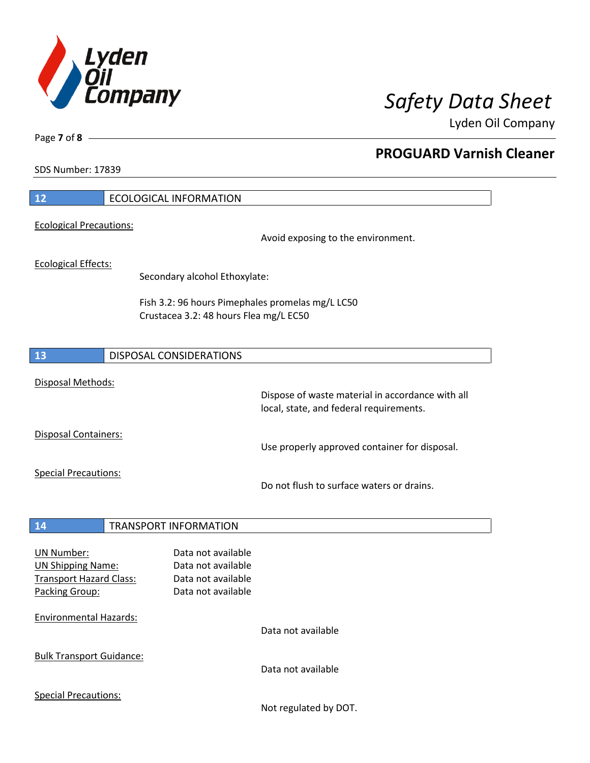

**PROGUARD Varnish Cleaner**

Lyden Oil Company

SDS Number: 17839

Page **7** of **8**

| $12$                                                       | <b>ECOLOGICAL INFORMATION</b>                    |                                                                                             |
|------------------------------------------------------------|--------------------------------------------------|---------------------------------------------------------------------------------------------|
| <b>Ecological Precautions:</b>                             |                                                  |                                                                                             |
|                                                            |                                                  | Avoid exposing to the environment.                                                          |
| <b>Ecological Effects:</b>                                 |                                                  |                                                                                             |
|                                                            | Secondary alcohol Ethoxylate:                    |                                                                                             |
|                                                            | Fish 3.2: 96 hours Pimephales promelas mg/L LC50 |                                                                                             |
|                                                            | Crustacea 3.2: 48 hours Flea mg/L EC50           |                                                                                             |
|                                                            |                                                  |                                                                                             |
| <b>13</b>                                                  | DISPOSAL CONSIDERATIONS                          |                                                                                             |
| Disposal Methods:                                          |                                                  |                                                                                             |
|                                                            |                                                  | Dispose of waste material in accordance with all<br>local, state, and federal requirements. |
| Disposal Containers:                                       |                                                  |                                                                                             |
|                                                            |                                                  | Use properly approved container for disposal.                                               |
| <b>Special Precautions:</b>                                |                                                  |                                                                                             |
|                                                            |                                                  | Do not flush to surface waters or drains.                                                   |
|                                                            |                                                  |                                                                                             |
| <b>14</b>                                                  | <b>TRANSPORT INFORMATION</b>                     |                                                                                             |
| <b>UN Number:</b>                                          | Data not available                               |                                                                                             |
| <b>UN Shipping Name:</b><br><b>Transport Hazard Class:</b> | Data not available<br>Data not available         |                                                                                             |
| Packing Group:                                             | Data not available                               |                                                                                             |
| <b>Environmental Hazards:</b>                              |                                                  |                                                                                             |
|                                                            |                                                  | Data not available                                                                          |
| <b>Bulk Transport Guidance:</b>                            |                                                  |                                                                                             |
|                                                            |                                                  | Data not available                                                                          |
| <b>Special Precautions:</b>                                |                                                  |                                                                                             |
|                                                            |                                                  | Not regulated by DOT.                                                                       |